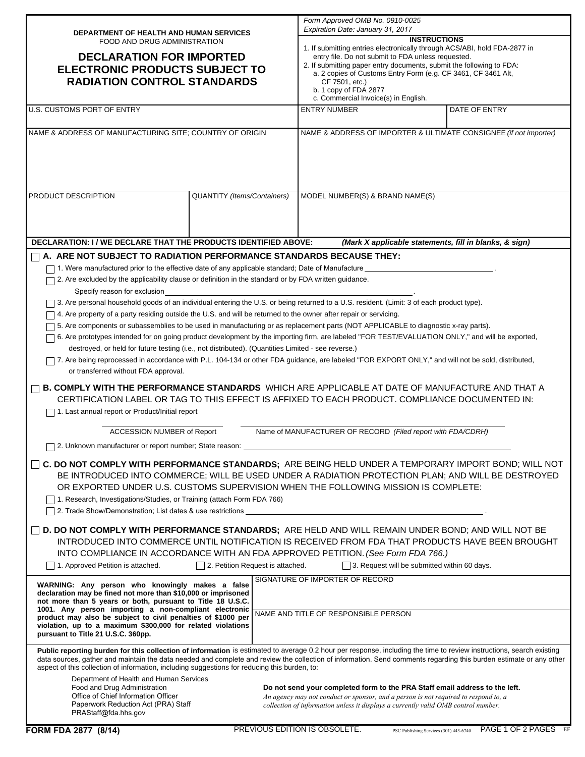|                                                                                                                                                                                                                                                                                                                                            | Form Approved OMB No. 0910-0025<br>Expiration Date: January 31, 2017                                                                                                                                                     |                                                                                                                                 |  |
|--------------------------------------------------------------------------------------------------------------------------------------------------------------------------------------------------------------------------------------------------------------------------------------------------------------------------------------------|--------------------------------------------------------------------------------------------------------------------------------------------------------------------------------------------------------------------------|---------------------------------------------------------------------------------------------------------------------------------|--|
| <b>DEPARTMENT OF HEALTH AND HUMAN SERVICES</b><br>FOOD AND DRUG ADMINISTRATION                                                                                                                                                                                                                                                             | <b>INSTRUCTIONS</b>                                                                                                                                                                                                      |                                                                                                                                 |  |
| <b>DECLARATION FOR IMPORTED</b>                                                                                                                                                                                                                                                                                                            |                                                                                                                                                                                                                          | 1. If submitting entries electronically through ACS/ABI, hold FDA-2877 in<br>entry file. Do not submit to FDA unless requested. |  |
| <b>ELECTRONIC PRODUCTS SUBJECT TO</b>                                                                                                                                                                                                                                                                                                      | 2. If submitting paper entry documents, submit the following to FDA:<br>a. 2 copies of Customs Entry Form (e.g. CF 3461, CF 3461 Alt,<br>CF 7501, etc.)<br>b. 1 copy of FDA 2877<br>c. Commercial Invoice(s) in English. |                                                                                                                                 |  |
| <b>RADIATION CONTROL STANDARDS</b>                                                                                                                                                                                                                                                                                                         |                                                                                                                                                                                                                          |                                                                                                                                 |  |
|                                                                                                                                                                                                                                                                                                                                            |                                                                                                                                                                                                                          |                                                                                                                                 |  |
| U.S. CUSTOMS PORT OF ENTRY                                                                                                                                                                                                                                                                                                                 | <b>ENTRY NUMBER</b>                                                                                                                                                                                                      | DATE OF ENTRY                                                                                                                   |  |
|                                                                                                                                                                                                                                                                                                                                            |                                                                                                                                                                                                                          |                                                                                                                                 |  |
| NAME & ADDRESS OF MANUFACTURING SITE; COUNTRY OF ORIGIN                                                                                                                                                                                                                                                                                    | NAME & ADDRESS OF IMPORTER & ULTIMATE CONSIGNEE (if not importer)                                                                                                                                                        |                                                                                                                                 |  |
|                                                                                                                                                                                                                                                                                                                                            |                                                                                                                                                                                                                          |                                                                                                                                 |  |
|                                                                                                                                                                                                                                                                                                                                            |                                                                                                                                                                                                                          |                                                                                                                                 |  |
|                                                                                                                                                                                                                                                                                                                                            |                                                                                                                                                                                                                          |                                                                                                                                 |  |
| <b>PRODUCT DESCRIPTION</b><br>QUANTITY (Items/Containers)                                                                                                                                                                                                                                                                                  | MODEL NUMBER(S) & BRAND NAME(S)                                                                                                                                                                                          |                                                                                                                                 |  |
|                                                                                                                                                                                                                                                                                                                                            |                                                                                                                                                                                                                          |                                                                                                                                 |  |
|                                                                                                                                                                                                                                                                                                                                            |                                                                                                                                                                                                                          |                                                                                                                                 |  |
| DECLARATION: I / WE DECLARE THAT THE PRODUCTS IDENTIFIED ABOVE:                                                                                                                                                                                                                                                                            | (Mark X applicable statements, fill in blanks, & sign)                                                                                                                                                                   |                                                                                                                                 |  |
| A. ARE NOT SUBJECT TO RADIATION PERFORMANCE STANDARDS BECAUSE THEY:                                                                                                                                                                                                                                                                        |                                                                                                                                                                                                                          |                                                                                                                                 |  |
| 1. Were manufactured prior to the effective date of any applicable standard; Date of Manufacture                                                                                                                                                                                                                                           |                                                                                                                                                                                                                          |                                                                                                                                 |  |
| 2. Are excluded by the applicability clause or definition in the standard or by FDA written guidance.                                                                                                                                                                                                                                      |                                                                                                                                                                                                                          |                                                                                                                                 |  |
| Specify reason for exclusion                                                                                                                                                                                                                                                                                                               |                                                                                                                                                                                                                          |                                                                                                                                 |  |
| 3. Are personal household goods of an individual entering the U.S. or being returned to a U.S. resident. (Limit: 3 of each product type).                                                                                                                                                                                                  |                                                                                                                                                                                                                          |                                                                                                                                 |  |
| 4. Are property of a party residing outside the U.S. and will be returned to the owner after repair or servicing.<br>5. Are components or subassemblies to be used in manufacturing or as replacement parts (NOT APPLICABLE to diagnostic x-ray parts).                                                                                    |                                                                                                                                                                                                                          |                                                                                                                                 |  |
| 6. Are prototypes intended for on going product development by the importing firm, are labeled "FOR TEST/EVALUATION ONLY," and will be exported,                                                                                                                                                                                           |                                                                                                                                                                                                                          |                                                                                                                                 |  |
| destroyed, or held for future testing (i.e., not distributed). (Quantities Limited - see reverse.)                                                                                                                                                                                                                                         |                                                                                                                                                                                                                          |                                                                                                                                 |  |
| 7. Are being reprocessed in accordance with P.L. 104-134 or other FDA guidance, are labeled "FOR EXPORT ONLY," and will not be sold, distributed,                                                                                                                                                                                          |                                                                                                                                                                                                                          |                                                                                                                                 |  |
| or transferred without FDA approval.                                                                                                                                                                                                                                                                                                       |                                                                                                                                                                                                                          |                                                                                                                                 |  |
| B. COMPLY WITH THE PERFORMANCE STANDARDS WHICH ARE APPLICABLE AT DATE OF MANUFACTURE AND THAT A                                                                                                                                                                                                                                            |                                                                                                                                                                                                                          |                                                                                                                                 |  |
| CERTIFICATION LABEL OR TAG TO THIS EFFECT IS AFFIXED TO EACH PRODUCT. COMPLIANCE DOCUMENTED IN:                                                                                                                                                                                                                                            |                                                                                                                                                                                                                          |                                                                                                                                 |  |
| 1. Last annual report or Product/Initial report                                                                                                                                                                                                                                                                                            |                                                                                                                                                                                                                          |                                                                                                                                 |  |
| Name of MANUFACTURER OF RECORD (Filed report with FDA/CDRH)<br>ACCESSION NUMBER of Report                                                                                                                                                                                                                                                  |                                                                                                                                                                                                                          |                                                                                                                                 |  |
| [7] 2. Unknown manufacturer or report number; State reason:                                                                                                                                                                                                                                                                                |                                                                                                                                                                                                                          |                                                                                                                                 |  |
|                                                                                                                                                                                                                                                                                                                                            |                                                                                                                                                                                                                          |                                                                                                                                 |  |
| C. DO NOT COMPLY WITH PERFORMANCE STANDARDS; ARE BEING HELD UNDER A TEMPORARY IMPORT BOND; WILL NOT<br>BE INTRODUCED INTO COMMERCE; WILL BE USED UNDER A RADIATION PROTECTION PLAN; AND WILL BE DESTROYED                                                                                                                                  |                                                                                                                                                                                                                          |                                                                                                                                 |  |
| OR EXPORTED UNDER U.S. CUSTOMS SUPERVISION WHEN THE FOLLOWING MISSION IS COMPLETE:                                                                                                                                                                                                                                                         |                                                                                                                                                                                                                          |                                                                                                                                 |  |
| 1. Research, Investigations/Studies, or Training (attach Form FDA 766)                                                                                                                                                                                                                                                                     |                                                                                                                                                                                                                          |                                                                                                                                 |  |
| 2. Trade Show/Demonstration; List dates & use restrictions ____________                                                                                                                                                                                                                                                                    |                                                                                                                                                                                                                          |                                                                                                                                 |  |
|                                                                                                                                                                                                                                                                                                                                            |                                                                                                                                                                                                                          |                                                                                                                                 |  |
| D. DO NOT COMPLY WITH PERFORMANCE STANDARDS; ARE HELD AND WILL REMAIN UNDER BOND; AND WILL NOT BE<br>INTRODUCED INTO COMMERCE UNTIL NOTIFICATION IS RECEIVED FROM FDA THAT PRODUCTS HAVE BEEN BROUGHT                                                                                                                                      |                                                                                                                                                                                                                          |                                                                                                                                 |  |
| INTO COMPLIANCE IN ACCORDANCE WITH AN FDA APPROVED PETITION. (See Form FDA 766.)                                                                                                                                                                                                                                                           |                                                                                                                                                                                                                          |                                                                                                                                 |  |
| $\Box$ 2. Petition Request is attached.<br>1. Approved Petition is attached.                                                                                                                                                                                                                                                               | □ 3. Request will be submitted within 60 days.                                                                                                                                                                           |                                                                                                                                 |  |
|                                                                                                                                                                                                                                                                                                                                            | SIGNATURE OF IMPORTER OF RECORD                                                                                                                                                                                          |                                                                                                                                 |  |
| WARNING: Any person who knowingly makes a false<br>declaration may be fined not more than \$10,000 or imprisoned                                                                                                                                                                                                                           |                                                                                                                                                                                                                          |                                                                                                                                 |  |
| not more than 5 years or both, pursuant to Title 18 U.S.C.<br>1001. Any person importing a non-compliant electronic                                                                                                                                                                                                                        |                                                                                                                                                                                                                          |                                                                                                                                 |  |
| product may also be subject to civil penalties of \$1000 per                                                                                                                                                                                                                                                                               | NAME AND TITLE OF RESPONSIBLE PERSON                                                                                                                                                                                     |                                                                                                                                 |  |
| violation, up to a maximum \$300,000 for related violations<br>pursuant to Title 21 U.S.C. 360pp.                                                                                                                                                                                                                                          |                                                                                                                                                                                                                          |                                                                                                                                 |  |
|                                                                                                                                                                                                                                                                                                                                            |                                                                                                                                                                                                                          |                                                                                                                                 |  |
| Public reporting burden for this collection of information is estimated to average 0.2 hour per response, including the time to review instructions, search existing<br>data sources, gather and maintain the data needed and complete and review the collection of information. Send comments regarding this burden estimate or any other |                                                                                                                                                                                                                          |                                                                                                                                 |  |
| aspect of this collection of information, including suggestions for reducing this burden, to:                                                                                                                                                                                                                                              |                                                                                                                                                                                                                          |                                                                                                                                 |  |
| Department of Health and Human Services<br>Food and Drug Administration                                                                                                                                                                                                                                                                    |                                                                                                                                                                                                                          | Do not send your completed form to the PRA Staff email address to the left.                                                     |  |
| Office of Chief Information Officer                                                                                                                                                                                                                                                                                                        | An agency may not conduct or sponsor, and a person is not required to respond to, a                                                                                                                                      |                                                                                                                                 |  |
| Paperwork Reduction Act (PRA) Staff<br>PRAStaff@fda.hhs.gov                                                                                                                                                                                                                                                                                | collection of information unless it displays a currently valid OMB control number.                                                                                                                                       |                                                                                                                                 |  |
| FORM FDA 2877 (8/14)                                                                                                                                                                                                                                                                                                                       | PREVIOUS EDITION IS OBSOLETE.                                                                                                                                                                                            | PSC Publishing Services (301) 443-6740 PAGE 1 OF 2 PAGES EF                                                                     |  |